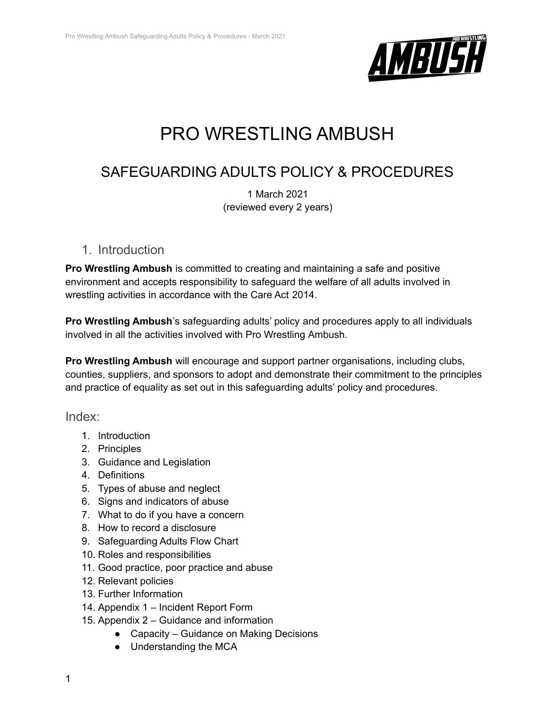

# PRO WRESTLING AMBUSH

# SAFEGUARDING ADULTS POLICY & PROCEDURES

1 March 2021 (reviewed every 2 years)

### 1. Introduction

**Pro Wrestling Ambush** is committed to creating and maintaining a safe and positive environment and accepts responsibility to safeguard the welfare of all adults involved in wrestling activities in accordance with the Care Act 2014.

**Pro Wrestling Ambush**'s safeguarding adults' policy and procedures apply to all individuals involved in all the activities involved with Pro Wrestling Ambush.

**Pro Wrestling Ambush** will encourage and support partner organisations, including clubs, counties, suppliers, and sponsors to adopt and demonstrate their commitment to the principles and practice of equality as set out in this safeguarding adults' policy and procedures.

Index:

- 1. Introduction
- 2. Principles
- 3. Guidance and Legislation
- 4. Definitions
- 5. Types of abuse and neglect
- 6. Signs and indicators of abuse
- 7. What to do if you have a concern
- 8. How to record a disclosure
- 9. Safeguarding Adults Flow Chart
- 10. Roles and responsibilities
- 11. Good practice, poor practice and abuse
- 12. Relevant policies
- 13. Further Information
- 14. Appendix 1 Incident Report Form
- 15. Appendix 2 Guidance and information
	- Capacity Guidance on Making Decisions
	- Understanding the MCA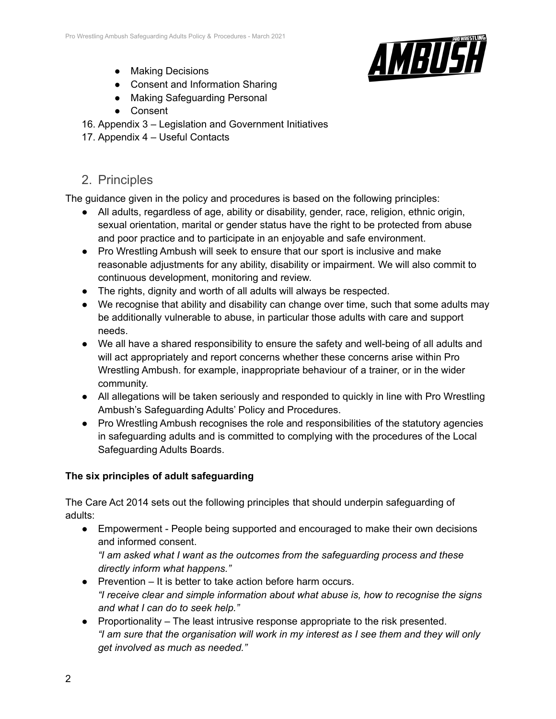

- Making Decisions
- Consent and Information Sharing
- Making Safeguarding Personal
- Consent
- 16. Appendix 3 Legislation and Government Initiatives
- 17. Appendix 4 Useful Contacts

# 2. Principles

The guidance given in the policy and procedures is based on the following principles:

- All adults, regardless of age, ability or disability, gender, race, religion, ethnic origin, sexual orientation, marital or gender status have the right to be protected from abuse and poor practice and to participate in an enjoyable and safe environment.
- Pro Wrestling Ambush will seek to ensure that our sport is inclusive and make reasonable adjustments for any ability, disability or impairment. We will also commit to continuous development, monitoring and review.
- The rights, dignity and worth of all adults will always be respected.
- We recognise that ability and disability can change over time, such that some adults may be additionally vulnerable to abuse, in particular those adults with care and support needs.
- We all have a shared responsibility to ensure the safety and well-being of all adults and will act appropriately and report concerns whether these concerns arise within Pro Wrestling Ambush. for example, inappropriate behaviour of a trainer, or in the wider community.
- All allegations will be taken seriously and responded to quickly in line with Pro Wrestling Ambush's Safeguarding Adults' Policy and Procedures.
- Pro Wrestling Ambush recognises the role and responsibilities of the statutory agencies in safeguarding adults and is committed to complying with the procedures of the Local Safeguarding Adults Boards.

### **The six principles of adult safeguarding**

The Care Act 2014 sets out the following principles that should underpin safeguarding of adults:

- Empowerment People being supported and encouraged to make their own decisions and informed consent. *"I am asked what I want as the outcomes from the safeguarding process and these*
- *directly inform what happens."* ● Prevention – It is better to take action before harm occurs. *"I receive clear and simple information about what abuse is, how to recognise the signs*
- *and what I can do to seek help."* ● Proportionality – The least intrusive response appropriate to the risk presented. *"I am sure that the organisation will work in my interest as I see them and they will only get involved as much as needed."*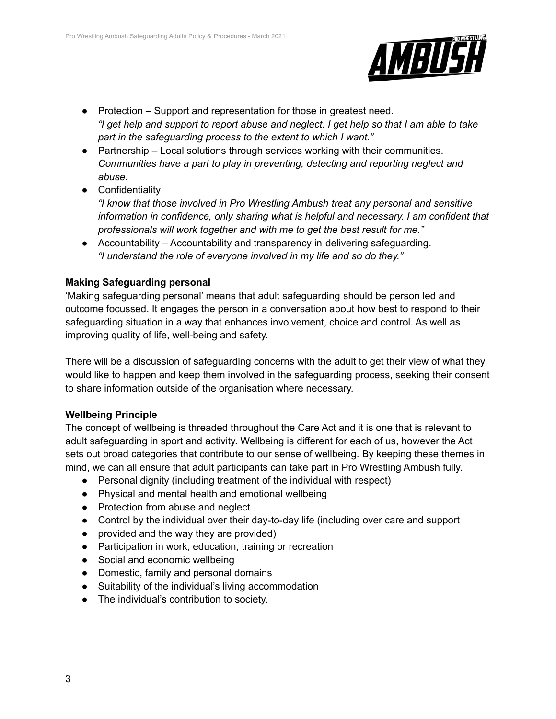

- Protection Support and representation for those in greatest need. "I get help and support to report abuse and neglect. I get help so that I am able to take *part in the safeguarding process to the extent to which I want."*
- $\bullet$  Partnership Local solutions through services working with their communities. *Communities have a part to play in preventing, detecting and reporting neglect and abuse.*
- Confidentiality

*"I know that those involved in Pro Wrestling Ambush treat any personal and sensitive information in confidence, only sharing what is helpful and necessary. I am confident that professionals will work together and with me to get the best result for me."*

● Accountability – Accountability and transparency in delivering safeguarding. *"I understand the role of everyone involved in my life and so do they."*

#### **Making Safeguarding personal**

'Making safeguarding personal' means that adult safeguarding should be person led and outcome focussed. It engages the person in a conversation about how best to respond to their safeguarding situation in a way that enhances involvement, choice and control. As well as improving quality of life, well-being and safety.

There will be a discussion of safeguarding concerns with the adult to get their view of what they would like to happen and keep them involved in the safeguarding process, seeking their consent to share information outside of the organisation where necessary.

#### **Wellbeing Principle**

The concept of wellbeing is threaded throughout the Care Act and it is one that is relevant to adult safeguarding in sport and activity. Wellbeing is different for each of us, however the Act sets out broad categories that contribute to our sense of wellbeing. By keeping these themes in mind, we can all ensure that adult participants can take part in Pro Wrestling Ambush fully.

- Personal dignity (including treatment of the individual with respect)
- Physical and mental health and emotional wellbeing
- Protection from abuse and neglect
- Control by the individual over their day-to-day life (including over care and support
- provided and the way they are provided)
- Participation in work, education, training or recreation
- Social and economic wellbeing
- Domestic, family and personal domains
- Suitability of the individual's living accommodation
- The individual's contribution to society.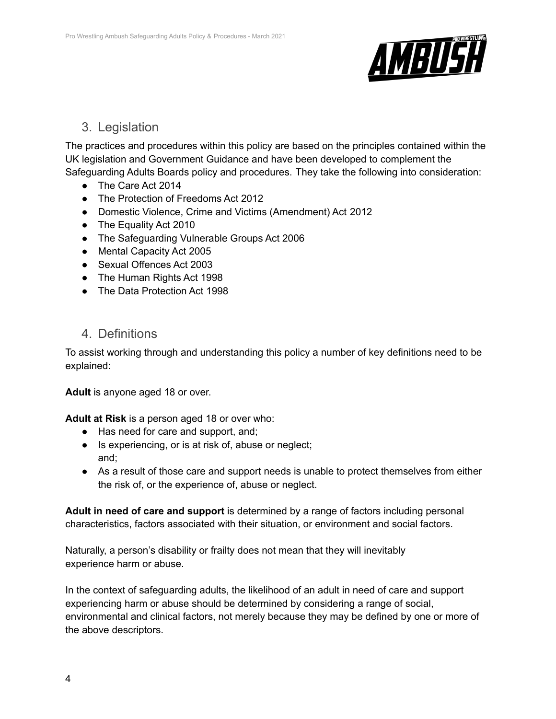

### 3. Legislation

The practices and procedures within this policy are based on the principles contained within the UK legislation and Government Guidance and have been developed to complement the Safeguarding Adults Boards policy and procedures. They take the following into consideration:

- The Care Act 2014
- The Protection of Freedoms Act 2012
- Domestic Violence, Crime and Victims (Amendment) Act 2012
- The Equality Act 2010
- The Safeguarding Vulnerable Groups Act 2006
- Mental Capacity Act 2005
- Sexual Offences Act 2003
- The Human Rights Act 1998
- The Data Protection Act 1998

### 4. Definitions

To assist working through and understanding this policy a number of key definitions need to be explained:

**Adult** is anyone aged 18 or over.

**Adult at Risk** is a person aged 18 or over who:

- Has need for care and support, and;
- Is experiencing, or is at risk of, abuse or neglect; and;
- As a result of those care and support needs is unable to protect themselves from either the risk of, or the experience of, abuse or neglect.

**Adult in need of care and support** is determined by a range of factors including personal characteristics, factors associated with their situation, or environment and social factors.

Naturally, a person's disability or frailty does not mean that they will inevitably experience harm or abuse.

In the context of safeguarding adults, the likelihood of an adult in need of care and support experiencing harm or abuse should be determined by considering a range of social, environmental and clinical factors, not merely because they may be defined by one or more of the above descriptors.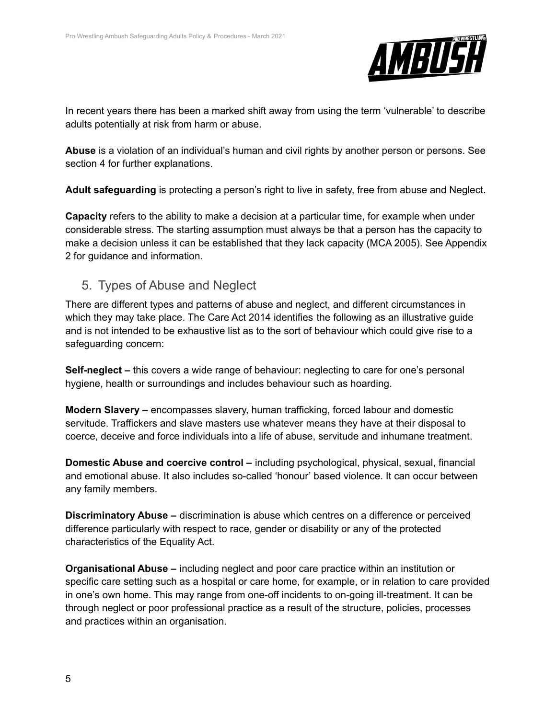

In recent years there has been a marked shift away from using the term 'vulnerable' to describe adults potentially at risk from harm or abuse.

**Abuse** is a violation of an individual's human and civil rights by another person or persons. See section 4 for further explanations.

**Adult safeguarding** is protecting a person's right to live in safety, free from abuse and Neglect.

**Capacity** refers to the ability to make a decision at a particular time, for example when under considerable stress. The starting assumption must always be that a person has the capacity to make a decision unless it can be established that they lack capacity (MCA 2005). See Appendix 2 for guidance and information.

# 5. Types of Abuse and Neglect

There are different types and patterns of abuse and neglect, and different circumstances in which they may take place. The Care Act 2014 identifies the following as an illustrative guide and is not intended to be exhaustive list as to the sort of behaviour which could give rise to a safeguarding concern:

**Self-neglect –** this covers a wide range of behaviour: neglecting to care for one's personal hygiene, health or surroundings and includes behaviour such as hoarding.

**Modern Slavery –** encompasses slavery, human trafficking, forced labour and domestic servitude. Traffickers and slave masters use whatever means they have at their disposal to coerce, deceive and force individuals into a life of abuse, servitude and inhumane treatment.

**Domestic Abuse and coercive control –** including psychological, physical, sexual, financial and emotional abuse. It also includes so-called 'honour' based violence. It can occur between any family members.

**Discriminatory Abuse –** discrimination is abuse which centres on a difference or perceived difference particularly with respect to race, gender or disability or any of the protected characteristics of the Equality Act.

**Organisational Abuse –** including neglect and poor care practice within an institution or specific care setting such as a hospital or care home, for example, or in relation to care provided in one's own home. This may range from one-off incidents to on-going ill-treatment. It can be through neglect or poor professional practice as a result of the structure, policies, processes and practices within an organisation.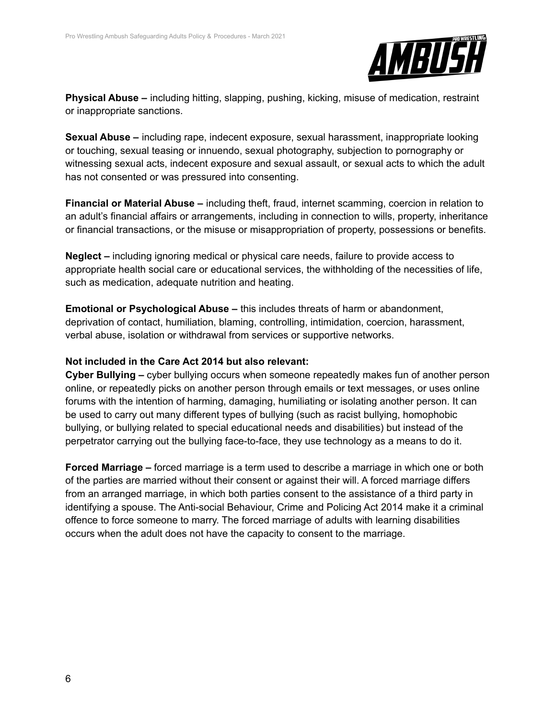

**Physical Abuse –** including hitting, slapping, pushing, kicking, misuse of medication, restraint or inappropriate sanctions.

**Sexual Abuse –** including rape, indecent exposure, sexual harassment, inappropriate looking or touching, sexual teasing or innuendo, sexual photography, subjection to pornography or witnessing sexual acts, indecent exposure and sexual assault, or sexual acts to which the adult has not consented or was pressured into consenting.

**Financial or Material Abuse –** including theft, fraud, internet scamming, coercion in relation to an adult's financial affairs or arrangements, including in connection to wills, property, inheritance or financial transactions, or the misuse or misappropriation of property, possessions or benefits.

**Neglect –** including ignoring medical or physical care needs, failure to provide access to appropriate health social care or educational services, the withholding of the necessities of life, such as medication, adequate nutrition and heating.

**Emotional or Psychological Abuse –** this includes threats of harm or abandonment, deprivation of contact, humiliation, blaming, controlling, intimidation, coercion, harassment, verbal abuse, isolation or withdrawal from services or supportive networks.

#### **Not included in the Care Act 2014 but also relevant:**

**Cyber Bullying –** cyber bullying occurs when someone repeatedly makes fun of another person online, or repeatedly picks on another person through emails or text messages, or uses online forums with the intention of harming, damaging, humiliating or isolating another person. It can be used to carry out many different types of bullying (such as racist bullying, homophobic bullying, or bullying related to special educational needs and disabilities) but instead of the perpetrator carrying out the bullying face-to-face, they use technology as a means to do it.

**Forced Marriage –** forced marriage is a term used to describe a marriage in which one or both of the parties are married without their consent or against their will. A forced marriage differs from an arranged marriage, in which both parties consent to the assistance of a third party in identifying a spouse. The Anti-social Behaviour, Crime and Policing Act 2014 make it a criminal offence to force someone to marry. The forced marriage of adults with learning disabilities occurs when the adult does not have the capacity to consent to the marriage.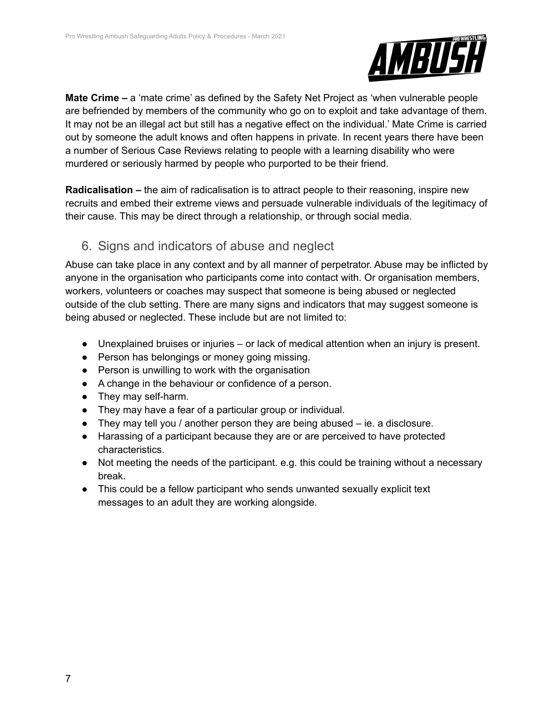

**Mate Crime –** a 'mate crime' as defined by the Safety Net Project as 'when vulnerable people are befriended by members of the community who go on to exploit and take advantage of them. It may not be an illegal act but still has a negative effect on the individual.' Mate Crime is carried out by someone the adult knows and often happens in private. In recent years there have been a number of Serious Case Reviews relating to people with a learning disability who were murdered or seriously harmed by people who purported to be their friend.

**Radicalisation –** the aim of radicalisation is to attract people to their reasoning, inspire new recruits and embed their extreme views and persuade vulnerable individuals of the legitimacy of their cause. This may be direct through a relationship, or through social media.

# 6. Signs and indicators of abuse and neglect

Abuse can take place in any context and by all manner of perpetrator. Abuse may be inflicted by anyone in the organisation who participants come into contact with. Or organisation members, workers, volunteers or coaches may suspect that someone is being abused or neglected outside of the club setting. There are many signs and indicators that may suggest someone is being abused or neglected. These include but are not limited to:

- Unexplained bruises or injuries or lack of medical attention when an injury is present.
- Person has belongings or money going missing.
- Person is unwilling to work with the organisation
- A change in the behaviour or confidence of a person.
- They may self-harm.
- They may have a fear of a particular group or individual.
- They may tell you / another person they are being abused ie. a disclosure.
- Harassing of a participant because they are or are perceived to have protected characteristics.
- Not meeting the needs of the participant. e.g. this could be training without a necessary break.
- This could be a fellow participant who sends unwanted sexually explicit text messages to an adult they are working alongside.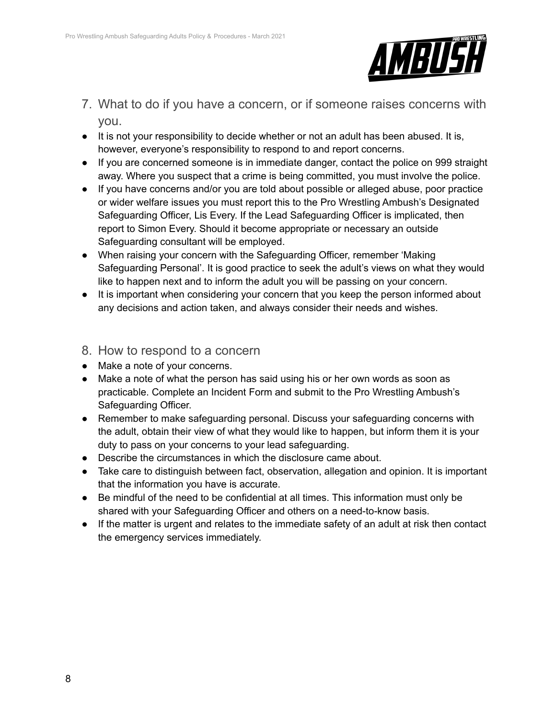

- 7. What to do if you have a concern, or if someone raises concerns with you.
- It is not your responsibility to decide whether or not an adult has been abused. It is, however, everyone's responsibility to respond to and report concerns.
- If you are concerned someone is in immediate danger, contact the police on 999 straight away. Where you suspect that a crime is being committed, you must involve the police.
- If you have concerns and/or you are told about possible or alleged abuse, poor practice or wider welfare issues you must report this to the Pro Wrestling Ambush's Designated Safeguarding Officer, Lis Every. If the Lead Safeguarding Officer is implicated, then report to Simon Every. Should it become appropriate or necessary an outside Safeguarding consultant will be employed.
- When raising your concern with the Safeguarding Officer, remember 'Making Safeguarding Personal'. It is good practice to seek the adult's views on what they would like to happen next and to inform the adult you will be passing on your concern.
- It is important when considering your concern that you keep the person informed about any decisions and action taken, and always consider their needs and wishes.

### 8. How to respond to a concern

- Make a note of your concerns.
- Make a note of what the person has said using his or her own words as soon as practicable. Complete an Incident Form and submit to the Pro Wrestling Ambush's Safeguarding Officer.
- Remember to make safeguarding personal. Discuss your safeguarding concerns with the adult, obtain their view of what they would like to happen, but inform them it is your duty to pass on your concerns to your lead safeguarding.
- Describe the circumstances in which the disclosure came about.
- Take care to distinguish between fact, observation, allegation and opinion. It is important that the information you have is accurate.
- Be mindful of the need to be confidential at all times. This information must only be shared with your Safeguarding Officer and others on a need-to-know basis.
- If the matter is urgent and relates to the immediate safety of an adult at risk then contact the emergency services immediately.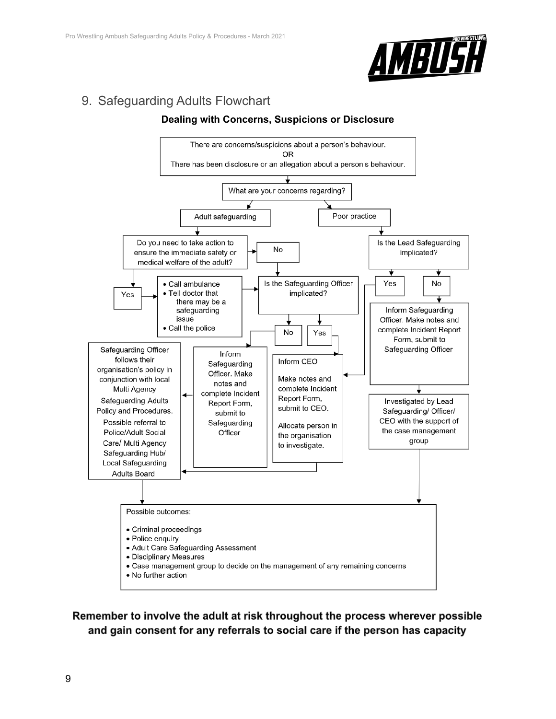

# 9. Safeguarding Adults Flowchart

### **Dealing with Concerns, Suspicions or Disclosure**



Remember to involve the adult at risk throughout the process wherever possible and gain consent for any referrals to social care if the person has capacity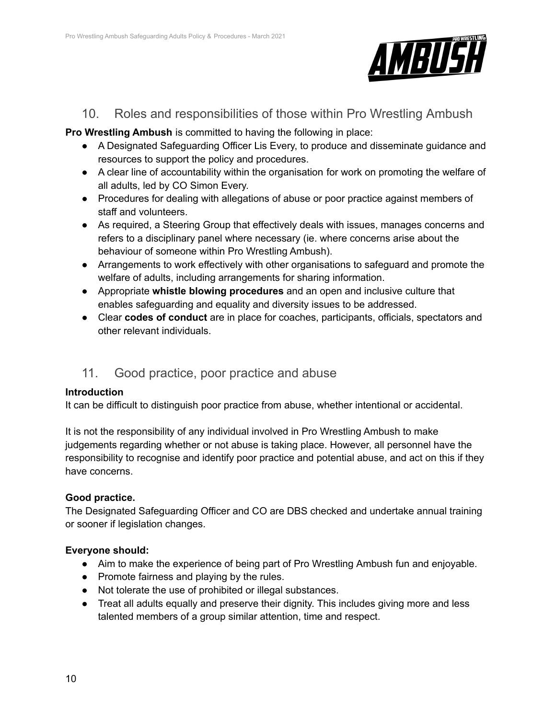

### 10. Roles and responsibilities of those within Pro Wrestling Ambush

**Pro Wrestling Ambush** is committed to having the following in place:

- A Designated Safeguarding Officer Lis Every, to produce and disseminate guidance and resources to support the policy and procedures.
- A clear line of accountability within the organisation for work on promoting the welfare of all adults, led by CO Simon Every.
- Procedures for dealing with allegations of abuse or poor practice against members of staff and volunteers.
- As required, a Steering Group that effectively deals with issues, manages concerns and refers to a disciplinary panel where necessary (ie. where concerns arise about the behaviour of someone within Pro Wrestling Ambush).
- Arrangements to work effectively with other organisations to safeguard and promote the welfare of adults, including arrangements for sharing information.
- Appropriate **whistle blowing procedures** and an open and inclusive culture that enables safeguarding and equality and diversity issues to be addressed.
- Clear **codes of conduct** are in place for coaches, participants, officials, spectators and other relevant individuals.

# 11. Good practice, poor practice and abuse

#### **Introduction**

It can be difficult to distinguish poor practice from abuse, whether intentional or accidental.

It is not the responsibility of any individual involved in Pro Wrestling Ambush to make judgements regarding whether or not abuse is taking place. However, all personnel have the responsibility to recognise and identify poor practice and potential abuse, and act on this if they have concerns.

#### **Good practice.**

The Designated Safeguarding Officer and CO are DBS checked and undertake annual training or sooner if legislation changes.

#### **Everyone should:**

- Aim to make the experience of being part of Pro Wrestling Ambush fun and enjoyable.
- Promote fairness and playing by the rules.
- Not tolerate the use of prohibited or illegal substances.
- Treat all adults equally and preserve their dignity. This includes giving more and less talented members of a group similar attention, time and respect.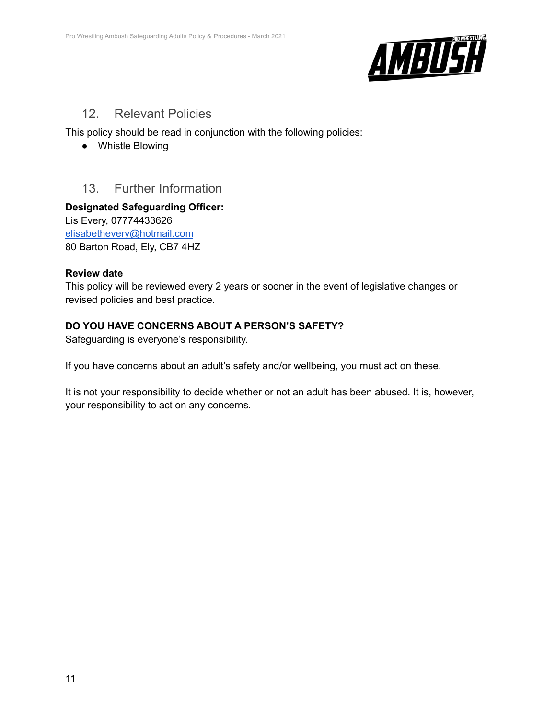

### 12. Relevant Policies

This policy should be read in conjunction with the following policies:

● Whistle Blowing

# 13. Further Information

#### **Designated Safeguarding Officer:**

Lis Every, 07774433626 [elisabethevery@hotmail.com](mailto:elisabethevery@hotmail.com) 80 Barton Road, Ely, CB7 4HZ

#### **Review date**

This policy will be reviewed every 2 years or sooner in the event of legislative changes or revised policies and best practice.

#### **DO YOU HAVE CONCERNS ABOUT A PERSON'S SAFETY?**

Safeguarding is everyone's responsibility.

If you have concerns about an adult's safety and/or wellbeing, you must act on these.

It is not your responsibility to decide whether or not an adult has been abused. It is, however, your responsibility to act on any concerns.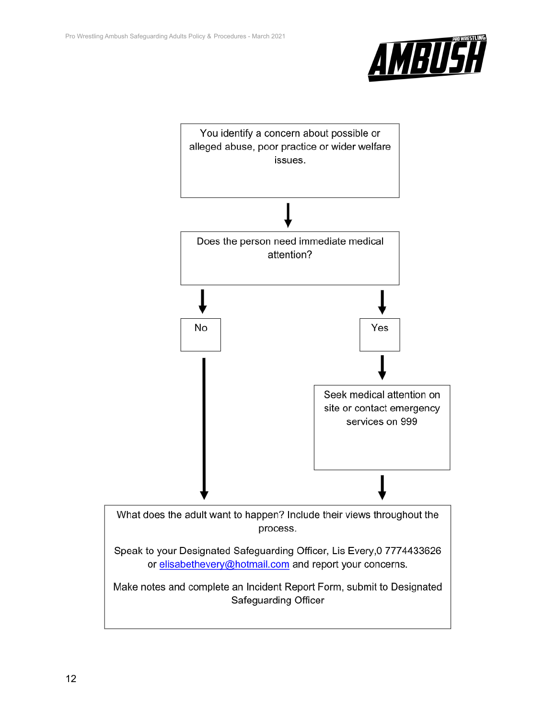

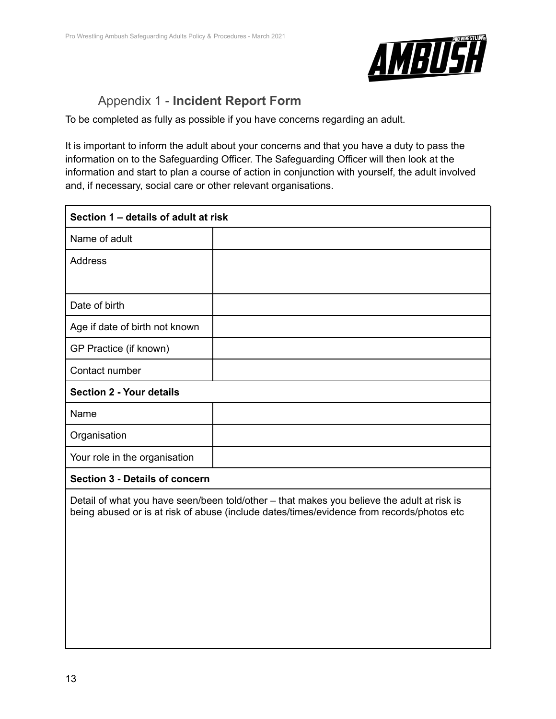

# Appendix 1 - **Incident Report Form**

To be completed as fully as possible if you have concerns regarding an adult.

It is important to inform the adult about your concerns and that you have a duty to pass the information on to the Safeguarding Officer. The Safeguarding Officer will then look at the information and start to plan a course of action in conjunction with yourself, the adult involved and, if necessary, social care or other relevant organisations.

| Section 1 – details of adult at risk                                                                                                                                                    |  |
|-----------------------------------------------------------------------------------------------------------------------------------------------------------------------------------------|--|
| Name of adult                                                                                                                                                                           |  |
| <b>Address</b>                                                                                                                                                                          |  |
|                                                                                                                                                                                         |  |
| Date of birth                                                                                                                                                                           |  |
| Age if date of birth not known                                                                                                                                                          |  |
| GP Practice (if known)                                                                                                                                                                  |  |
| Contact number                                                                                                                                                                          |  |
| <b>Section 2 - Your details</b>                                                                                                                                                         |  |
| Name                                                                                                                                                                                    |  |
| Organisation                                                                                                                                                                            |  |
| Your role in the organisation                                                                                                                                                           |  |
| <b>Section 3 - Details of concern</b>                                                                                                                                                   |  |
| Detail of what you have seen/been told/other – that makes you believe the adult at risk is<br>being abused or is at risk of abuse (include dates/times/evidence from records/photos etc |  |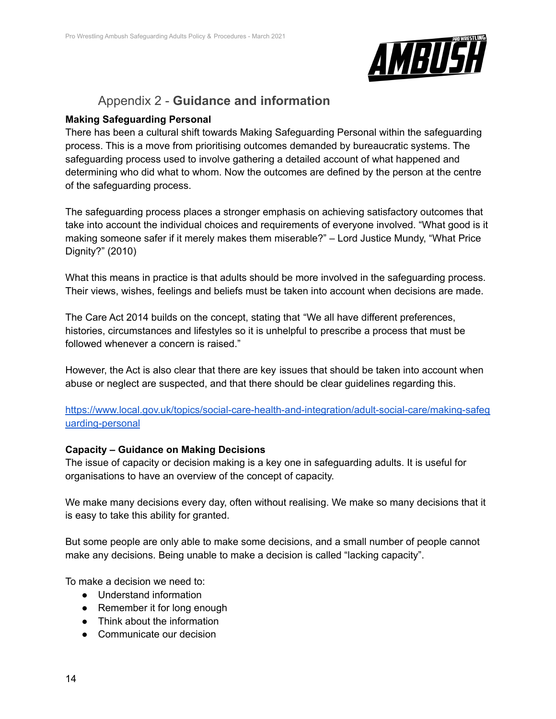

# Appendix 2 - **Guidance and information**

#### **Making Safeguarding Personal**

There has been a cultural shift towards Making Safeguarding Personal within the safeguarding process. This is a move from prioritising outcomes demanded by bureaucratic systems. The safeguarding process used to involve gathering a detailed account of what happened and determining who did what to whom. Now the outcomes are defined by the person at the centre of the safeguarding process.

The safeguarding process places a stronger emphasis on achieving satisfactory outcomes that take into account the individual choices and requirements of everyone involved. "What good is it making someone safer if it merely makes them miserable?" – Lord Justice Mundy, "What Price Dignity?" (2010)

What this means in practice is that adults should be more involved in the safeguarding process. Their views, wishes, feelings and beliefs must be taken into account when decisions are made.

The Care Act 2014 builds on the concept, stating that "We all have different preferences, histories, circumstances and lifestyles so it is unhelpful to prescribe a process that must be followed whenever a concern is raised."

However, the Act is also clear that there are key issues that should be taken into account when abuse or neglect are suspected, and that there should be clear guidelines regarding this.

[https://www.local.gov.uk/topics/social-care-health-and-integration/adult-social-care/making-safeg](https://www.local.gov.uk/topics/social-care-health-and-integration/adult-social-care/making-safeguarding-personal) [uarding-personal](https://www.local.gov.uk/topics/social-care-health-and-integration/adult-social-care/making-safeguarding-personal)

#### **Capacity – Guidance on Making Decisions**

The issue of capacity or decision making is a key one in safeguarding adults. It is useful for organisations to have an overview of the concept of capacity.

We make many decisions every day, often without realising. We make so many decisions that it is easy to take this ability for granted.

But some people are only able to make some decisions, and a small number of people cannot make any decisions. Being unable to make a decision is called "lacking capacity".

To make a decision we need to:

- Understand information
- Remember it for long enough
- Think about the information
- Communicate our decision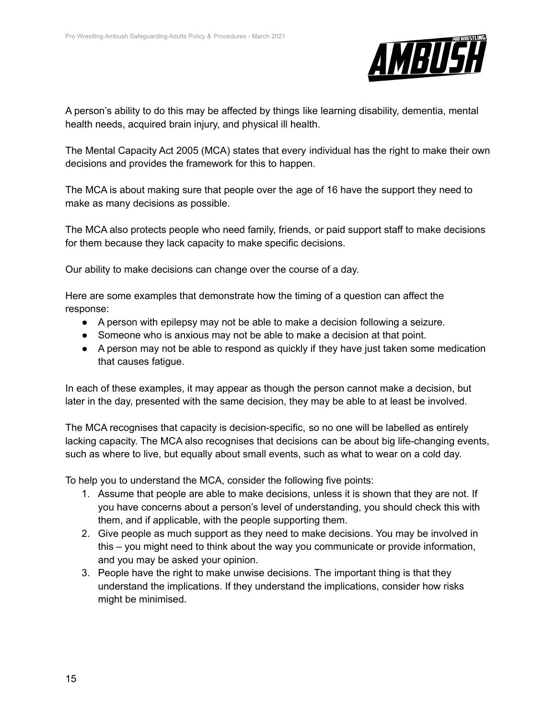

A person's ability to do this may be affected by things like learning disability, dementia, mental health needs, acquired brain injury, and physical ill health.

The Mental Capacity Act 2005 (MCA) states that every individual has the right to make their own decisions and provides the framework for this to happen.

The MCA is about making sure that people over the age of 16 have the support they need to make as many decisions as possible.

The MCA also protects people who need family, friends, or paid support staff to make decisions for them because they lack capacity to make specific decisions.

Our ability to make decisions can change over the course of a day.

Here are some examples that demonstrate how the timing of a question can affect the response:

- A person with epilepsy may not be able to make a decision following a seizure.
- Someone who is anxious may not be able to make a decision at that point.
- A person may not be able to respond as quickly if they have just taken some medication that causes fatigue.

In each of these examples, it may appear as though the person cannot make a decision, but later in the day, presented with the same decision, they may be able to at least be involved.

The MCA recognises that capacity is decision-specific, so no one will be labelled as entirely lacking capacity. The MCA also recognises that decisions can be about big life-changing events, such as where to live, but equally about small events, such as what to wear on a cold day.

To help you to understand the MCA, consider the following five points:

- 1. Assume that people are able to make decisions, unless it is shown that they are not. If you have concerns about a person's level of understanding, you should check this with them, and if applicable, with the people supporting them.
- 2. Give people as much support as they need to make decisions. You may be involved in this – you might need to think about the way you communicate or provide information, and you may be asked your opinion.
- 3. People have the right to make unwise decisions. The important thing is that they understand the implications. If they understand the implications, consider how risks might be minimised.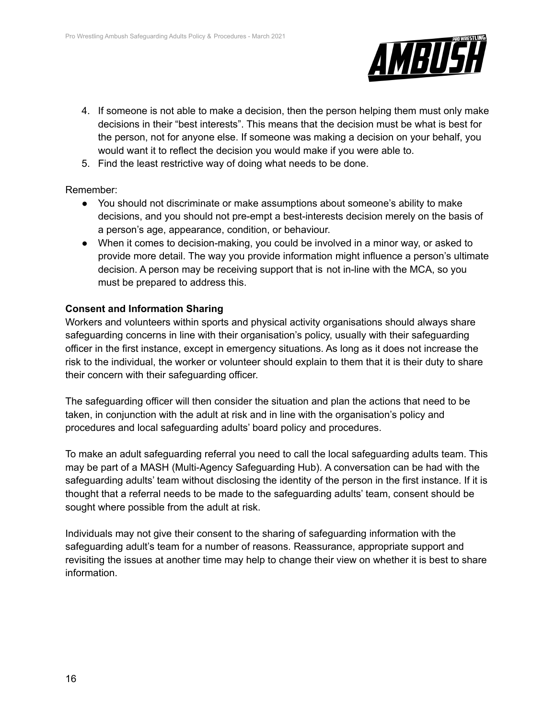

- 4. If someone is not able to make a decision, then the person helping them must only make decisions in their "best interests". This means that the decision must be what is best for the person, not for anyone else. If someone was making a decision on your behalf, you would want it to reflect the decision you would make if you were able to.
- 5. Find the least restrictive way of doing what needs to be done.

Remember:

- You should not discriminate or make assumptions about someone's ability to make decisions, and you should not pre-empt a best-interests decision merely on the basis of a person's age, appearance, condition, or behaviour.
- When it comes to decision-making, you could be involved in a minor way, or asked to provide more detail. The way you provide information might influence a person's ultimate decision. A person may be receiving support that is not in-line with the MCA, so you must be prepared to address this.

#### **Consent and Information Sharing**

Workers and volunteers within sports and physical activity organisations should always share safeguarding concerns in line with their organisation's policy, usually with their safeguarding officer in the first instance, except in emergency situations. As long as it does not increase the risk to the individual, the worker or volunteer should explain to them that it is their duty to share their concern with their safeguarding officer.

The safeguarding officer will then consider the situation and plan the actions that need to be taken, in conjunction with the adult at risk and in line with the organisation's policy and procedures and local safeguarding adults' board policy and procedures.

To make an adult safeguarding referral you need to call the local safeguarding adults team. This may be part of a MASH (Multi-Agency Safeguarding Hub). A conversation can be had with the safeguarding adults' team without disclosing the identity of the person in the first instance. If it is thought that a referral needs to be made to the safeguarding adults' team, consent should be sought where possible from the adult at risk.

Individuals may not give their consent to the sharing of safeguarding information with the safeguarding adult's team for a number of reasons. Reassurance, appropriate support and revisiting the issues at another time may help to change their view on whether it is best to share information.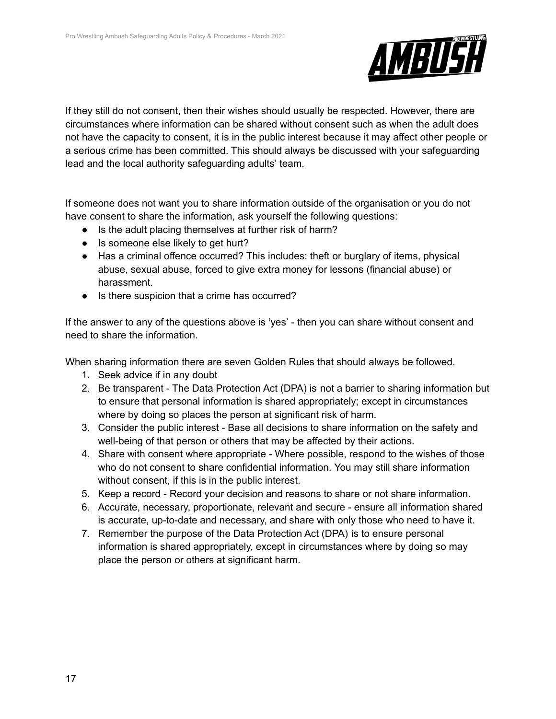

If they still do not consent, then their wishes should usually be respected. However, there are circumstances where information can be shared without consent such as when the adult does not have the capacity to consent, it is in the public interest because it may affect other people or a serious crime has been committed. This should always be discussed with your safeguarding lead and the local authority safeguarding adults' team.

If someone does not want you to share information outside of the organisation or you do not have consent to share the information, ask yourself the following questions:

- Is the adult placing themselves at further risk of harm?
- Is someone else likely to get hurt?
- Has a criminal offence occurred? This includes: theft or burglary of items, physical abuse, sexual abuse, forced to give extra money for lessons (financial abuse) or harassment.
- Is there suspicion that a crime has occurred?

If the answer to any of the questions above is 'yes' - then you can share without consent and need to share the information.

When sharing information there are seven Golden Rules that should always be followed.

- 1. Seek advice if in any doubt
- 2. Be transparent The Data Protection Act (DPA) is not a barrier to sharing information but to ensure that personal information is shared appropriately; except in circumstances where by doing so places the person at significant risk of harm.
- 3. Consider the public interest Base all decisions to share information on the safety and well-being of that person or others that may be affected by their actions.
- 4. Share with consent where appropriate Where possible, respond to the wishes of those who do not consent to share confidential information. You may still share information without consent, if this is in the public interest.
- 5. Keep a record Record your decision and reasons to share or not share information.
- 6. Accurate, necessary, proportionate, relevant and secure ensure all information shared is accurate, up-to-date and necessary, and share with only those who need to have it.
- 7. Remember the purpose of the Data Protection Act (DPA) is to ensure personal information is shared appropriately, except in circumstances where by doing so may place the person or others at significant harm.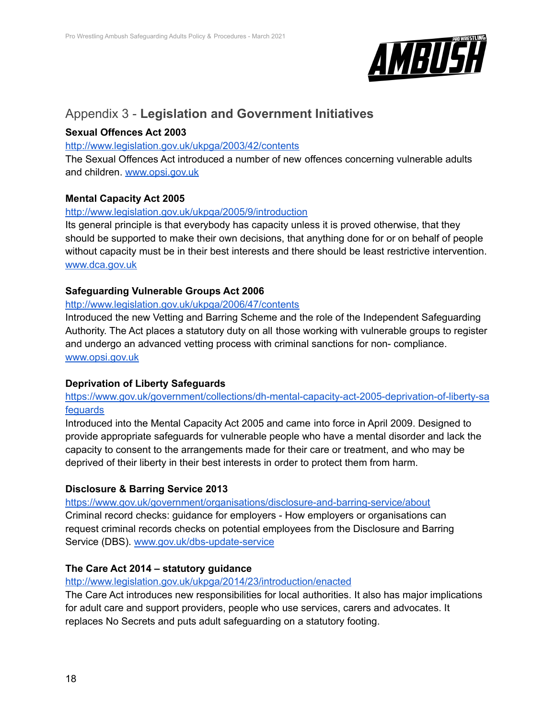

# Appendix 3 - **Legislation and Government Initiatives**

#### **Sexual Offences Act 2003**

#### <http://www.legislation.gov.uk/ukpga/2003/42/contents>

The Sexual Offences Act introduced a number of new offences concerning vulnerable adults and children. [www.opsi.gov.uk](http://www.opsi.gov.uk)

#### **Mental Capacity Act 2005**

#### <http://www.legislation.gov.uk/ukpga/2005/9/introduction>

Its general principle is that everybody has capacity unless it is proved otherwise, that they should be supported to make their own decisions, that anything done for or on behalf of people without capacity must be in their best interests and there should be least restrictive intervention. [www.dca.gov.uk](http://www.dca.gov.uk)

#### **Safeguarding Vulnerable Groups Act 2006**

#### <http://www.legislation.gov.uk/ukpga/2006/47/contents>

Introduced the new Vetting and Barring Scheme and the role of the Independent Safeguarding Authority. The Act places a statutory duty on all those working with vulnerable groups to register and undergo an advanced vetting process with criminal sanctions for non- compliance. [www.opsi.gov.uk](http://www.opsi.gov.uk)

#### **Deprivation of Liberty Safeguards**

#### [https://www.gov.uk/government/collections/dh-mental-capacity-act-2005-deprivation-of-liberty-sa](https://www.gov.uk/government/collections/dh-mental-capacity-act-2005-deprivation-of-liberty-safeguards) [feguards](https://www.gov.uk/government/collections/dh-mental-capacity-act-2005-deprivation-of-liberty-safeguards)

Introduced into the Mental Capacity Act 2005 and came into force in April 2009. Designed to provide appropriate safeguards for vulnerable people who have a mental disorder and lack the capacity to consent to the arrangements made for their care or treatment, and who may be deprived of their liberty in their best interests in order to protect them from harm.

#### **Disclosure & Barring Service 2013**

<https://www.gov.uk/government/organisations/disclosure-and-barring-service/about> Criminal record checks: guidance for employers - How employers or organisations can request criminal records checks on potential employees from the Disclosure and Barring Service (DBS). [www.gov.uk/dbs-update-service](http://www.gov.uk/dbs-update-service)

#### **The Care Act 2014 – statutory guidance**

<http://www.legislation.gov.uk/ukpga/2014/23/introduction/enacted>

The Care Act introduces new responsibilities for local authorities. It also has major implications for adult care and support providers, people who use services, carers and advocates. It replaces No Secrets and puts adult safeguarding on a statutory footing.